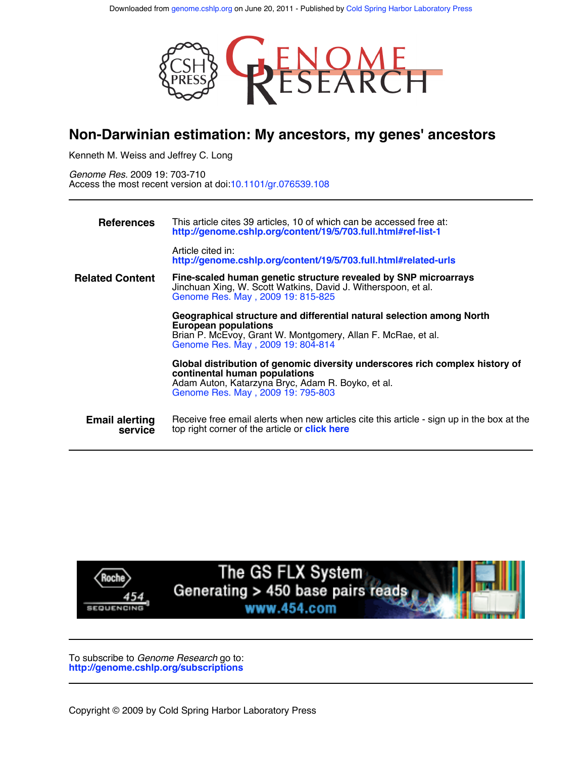

## **Non-Darwinian estimation: My ancestors, my genes' ancestors**

Kenneth M. Weiss and Jeffrey C. Long

Access the most recent version at doi[:10.1101/gr.076539.108](http://genome.cshlp.org/lookup/doi/10.1101/gr.076539.108) *Genome Res.* 2009 19: 703-710

| <b>References</b>                | This article cites 39 articles, 10 of which can be accessed free at:<br>http://genome.cshlp.org/content/19/5/703.full.html#ref-list-1                                                                     |
|----------------------------------|-----------------------------------------------------------------------------------------------------------------------------------------------------------------------------------------------------------|
|                                  | Article cited in:<br>http://genome.cshlp.org/content/19/5/703.full.html#related-urls                                                                                                                      |
| <b>Related Content</b>           | Fine-scaled human genetic structure revealed by SNP microarrays<br>Jinchuan Xing, W. Scott Watkins, David J. Witherspoon, et al.<br>Genome Res. May, 2009 19: 815-825                                     |
|                                  | Geographical structure and differential natural selection among North<br><b>European populations</b><br>Brian P. McEvoy, Grant W. Montgomery, Allan F. McRae, et al.<br>Genome Res. May, 2009 19: 804-814 |
|                                  | Global distribution of genomic diversity underscores rich complex history of<br>continental human populations<br>Adam Auton, Katarzyna Bryc, Adam R. Boyko, et al.<br>Genome Res. May, 2009 19: 795-803   |
| <b>Email alerting</b><br>service | Receive free email alerts when new articles cite this article - sign up in the box at the<br>top right corner of the article or <b>click here</b>                                                         |



**<http://genome.cshlp.org/subscriptions>** To subscribe to *Genome Research* go to: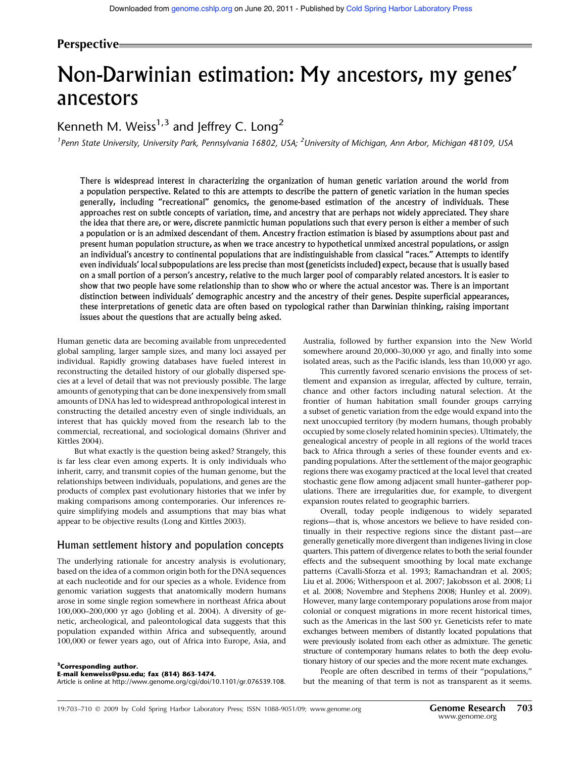## **Perspective**

# Non-Darwinian estimation: My ancestors, my genes' ancestors

Kenneth M. Weiss<sup>1,3</sup> and Jeffrey C. Long<sup>2</sup>

<sup>1</sup> Penn State University, University Park, Pennsylvania 16802, USA; <sup>2</sup>University of Michigan, Ann Arbor, Michigan 48109, USA

There is widespread interest in characterizing the organization of human genetic variation around the world from a population perspective. Related to this are attempts to describe the pattern of genetic variation in the human species generally, including "recreational" genomics, the genome-based estimation of the ancestry of individuals. These approaches rest on subtle concepts of variation, time, and ancestry that are perhaps not widely appreciated. They share the idea that there are, or were, discrete panmictic human populations such that every person is either a member of such a population or is an admixed descendant of them. Ancestry fraction estimation is biased by assumptions about past and present human population structure, as when we trace ancestry to hypothetical unmixed ancestral populations, or assign an individual's ancestry to continental populations that are indistinguishable from classical ''races.'' Attempts to identify even individuals' local subpopulations are less precise than most (geneticists included) expect, because that is usually based on a small portion of a person's ancestry, relative to the much larger pool of comparably related ancestors. It is easier to show that two people have some relationship than to show who or where the actual ancestor was. There is an important distinction between individuals' demographic ancestry and the ancestry of their genes. Despite superficial appearances, these interpretations of genetic data are often based on typological rather than Darwinian thinking, raising important issues about the questions that are actually being asked.

Human genetic data are becoming available from unprecedented global sampling, larger sample sizes, and many loci assayed per individual. Rapidly growing databases have fueled interest in reconstructing the detailed history of our globally dispersed species at a level of detail that was not previously possible. The large amounts of genotyping that can be done inexpensively from small amounts of DNA has led to widespread anthropological interest in constructing the detailed ancestry even of single individuals, an interest that has quickly moved from the research lab to the commercial, recreational, and sociological domains (Shriver and Kittles 2004).

But what exactly is the question being asked? Strangely, this is far less clear even among experts. It is only individuals who inherit, carry, and transmit copies of the human genome, but the relationships between individuals, populations, and genes are the products of complex past evolutionary histories that we infer by making comparisons among contemporaries. Our inferences require simplifying models and assumptions that may bias what appear to be objective results (Long and Kittles 2003).

### Human settlement history and population concepts

The underlying rationale for ancestry analysis is evolutionary, based on the idea of a common origin both for the DNA sequences at each nucleotide and for our species as a whole. Evidence from genomic variation suggests that anatomically modern humans arose in some single region somewhere in northeast Africa about 100,000–200,000 yr ago (Jobling et al. 2004). A diversity of genetic, archeological, and paleontological data suggests that this population expanded within Africa and subsequently, around 100,000 or fewer years ago, out of Africa into Europe, Asia, and

<sup>3</sup>Corresponding author.

E-mail kenweiss@psu.edu; fax (814) 863-1474. Article is online at http://www.genome.org/cgi/doi/10.1101/gr.076539.108. Australia, followed by further expansion into the New World somewhere around 20,000–30,000 yr ago, and finally into some isolated areas, such as the Pacific islands, less than 10,000 yr ago.

This currently favored scenario envisions the process of settlement and expansion as irregular, affected by culture, terrain, chance and other factors including natural selection. At the frontier of human habitation small founder groups carrying a subset of genetic variation from the edge would expand into the next unoccupied territory (by modern humans, though probably occupied by some closely related hominin species). Ultimately, the genealogical ancestry of people in all regions of the world traces back to Africa through a series of these founder events and expanding populations. After the settlement of the major geographic regions there was exogamy practiced at the local level that created stochastic gene flow among adjacent small hunter–gatherer populations. There are irregularities due, for example, to divergent expansion routes related to geographic barriers.

Overall, today people indigenous to widely separated regions—that is, whose ancestors we believe to have resided continually in their respective regions since the distant past—are generally genetically more divergent than indigenes living in close quarters. This pattern of divergence relates to both the serial founder effects and the subsequent smoothing by local mate exchange patterns (Cavalli-Sforza et al. 1993; Ramachandran et al. 2005; Liu et al. 2006; Witherspoon et al. 2007; Jakobsson et al. 2008; Li et al. 2008; Novembre and Stephens 2008; Hunley et al. 2009). However, many large contemporary populations arose from major colonial or conquest migrations in more recent historical times, such as the Americas in the last 500 yr. Geneticists refer to mate exchanges between members of distantly located populations that were previously isolated from each other as admixture. The genetic structure of contemporary humans relates to both the deep evolutionary history of our species and the more recent mate exchanges.

People are often described in terms of their ''populations,'' but the meaning of that term is not as transparent as it seems.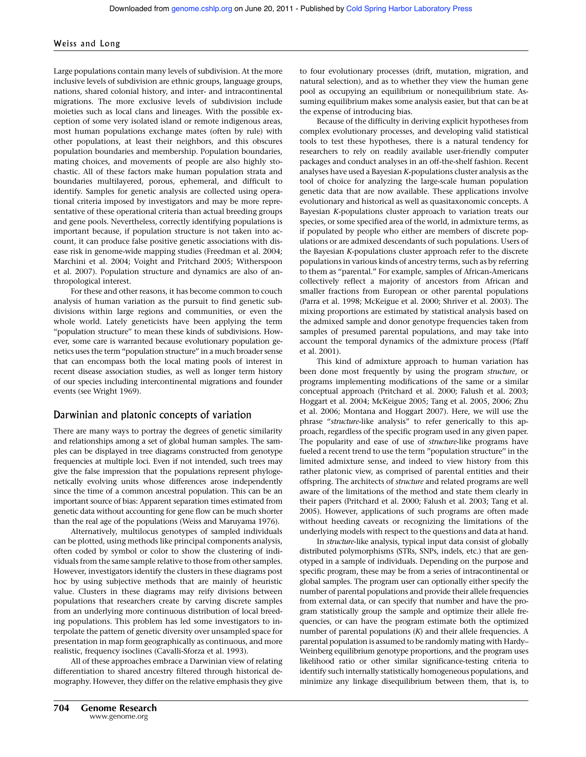#### Weiss and Long

Large populations contain many levels of subdivision. At the more inclusive levels of subdivision are ethnic groups, language groups, nations, shared colonial history, and inter- and intracontinental migrations. The more exclusive levels of subdivision include moieties such as local clans and lineages. With the possible exception of some very isolated island or remote indigenous areas, most human populations exchange mates (often by rule) with other populations, at least their neighbors, and this obscures population boundaries and membership. Population boundaries, mating choices, and movements of people are also highly stochastic. All of these factors make human population strata and boundaries multilayered, porous, ephemeral, and difficult to identify. Samples for genetic analysis are collected using operational criteria imposed by investigators and may be more representative of these operational criteria than actual breeding groups and gene pools. Nevertheless, correctly identifying populations is important because, if population structure is not taken into account, it can produce false positive genetic associations with disease risk in genome-wide mapping studies (Freedman et al. 2004; Marchini et al. 2004; Voight and Pritchard 2005; Witherspoon et al. 2007). Population structure and dynamics are also of anthropological interest.

For these and other reasons, it has become common to couch analysis of human variation as the pursuit to find genetic subdivisions within large regions and communities, or even the whole world. Lately geneticists have been applying the term ''population structure'' to mean these kinds of subdivisions. However, some care is warranted because evolutionary population genetics uses the term ''population structure'' in a much broader sense that can encompass both the local mating pools of interest in recent disease association studies, as well as longer term history of our species including intercontinental migrations and founder events (see Wright 1969).

## Darwinian and platonic concepts of variation

There are many ways to portray the degrees of genetic similarity and relationships among a set of global human samples. The samples can be displayed in tree diagrams constructed from genotype frequencies at multiple loci. Even if not intended, such trees may give the false impression that the populations represent phylogenetically evolving units whose differences arose independently since the time of a common ancestral population. This can be an important source of bias: Apparent separation times estimated from genetic data without accounting for gene flow can be much shorter than the real age of the populations (Weiss and Maruyama 1976).

Alternatively, multilocus genotypes of sampled individuals can be plotted, using methods like principal components analysis, often coded by symbol or color to show the clustering of individuals from the same sample relative to those from other samples. However, investigators identify the clusters in these diagrams post hoc by using subjective methods that are mainly of heuristic value. Clusters in these diagrams may reify divisions between populations that researchers create by carving discrete samples from an underlying more continuous distribution of local breeding populations. This problem has led some investigators to interpolate the pattern of genetic diversity over unsampled space for presentation in map form geographically as continuous, and more realistic, frequency isoclines (Cavalli-Sforza et al. 1993).

All of these approaches embrace a Darwinian view of relating differentiation to shared ancestry filtered through historical demography. However, they differ on the relative emphasis they give

Because of the difficulty in deriving explicit hypotheses from complex evolutionary processes, and developing valid statistical tools to test these hypotheses, there is a natural tendency for researchers to rely on readily available user-friendly computer packages and conduct analyses in an off-the-shelf fashion. Recent analyses have used a Bayesian K-populations cluster analysis as the tool of choice for analyzing the large-scale human population genetic data that are now available. These applications involve evolutionary and historical as well as quasitaxonomic concepts. A Bayesian K-populations cluster approach to variation treats our species, or some specified area of the world, in admixture terms, as if populated by people who either are members of discrete populations or are admixed descendants of such populations. Users of the Bayesian K-populations cluster approach refer to the discrete populations in various kinds of ancestry terms, such as by referring to them as ''parental.'' For example, samples of African-Americans collectively reflect a majority of ancestors from African and smaller fractions from European or other parental populations (Parra et al. 1998; McKeigue et al. 2000; Shriver et al. 2003). The mixing proportions are estimated by statistical analysis based on the admixed sample and donor genotype frequencies taken from samples of presumed parental populations, and may take into account the temporal dynamics of the admixture process (Pfaff et al. 2001).

This kind of admixture approach to human variation has been done most frequently by using the program structure, or programs implementing modifications of the same or a similar conceptual approach (Pritchard et al. 2000; Falush et al. 2003; Hoggart et al. 2004; McKeigue 2005; Tang et al. 2005, 2006; Zhu et al. 2006; Montana and Hoggart 2007). Here, we will use the phrase "structure-like analysis" to refer generically to this approach, regardless of the specific program used in any given paper. The popularity and ease of use of structure-like programs have fueled a recent trend to use the term ''population structure'' in the limited admixture sense, and indeed to view history from this rather platonic view, as comprised of parental entities and their offspring. The architects of structure and related programs are well aware of the limitations of the method and state them clearly in their papers (Pritchard et al. 2000; Falush et al. 2003; Tang et al. 2005). However, applications of such programs are often made without heeding caveats or recognizing the limitations of the underlying models with respect to the questions and data at hand.

In structure-like analysis, typical input data consist of globally distributed polymorphisms (STRs, SNPs, indels, etc.) that are genotyped in a sample of individuals. Depending on the purpose and specific program, these may be from a series of intracontinental or global samples. The program user can optionally either specify the number of parental populations and provide their allele frequencies from external data, or can specify that number and have the program statistically group the sample and optimize their allele frequencies, or can have the program estimate both the optimized number of parental populations  $(K)$  and their allele frequencies. A parental population is assumed to be randomly mating with Hardy– Weinberg equilibrium genotype proportions, and the program uses likelihood ratio or other similar significance-testing criteria to identify such internally statistically homogeneous populations, and minimize any linkage disequilibrium between them, that is, to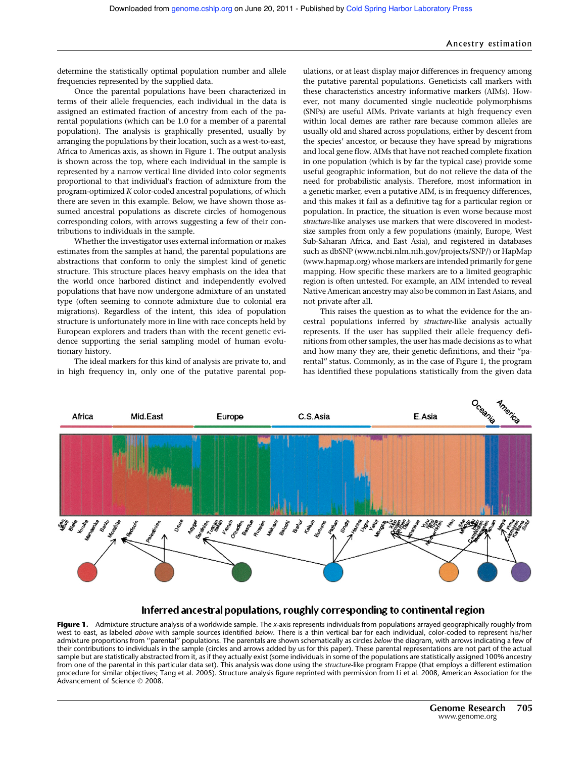#### Ancestry estimation

determine the statistically optimal population number and allele frequencies represented by the supplied data.

Once the parental populations have been characterized in terms of their allele frequencies, each individual in the data is assigned an estimated fraction of ancestry from each of the parental populations (which can be 1.0 for a member of a parental population). The analysis is graphically presented, usually by arranging the populations by their location, such as a west-to-east, Africa to Americas axis, as shown in Figure 1. The output analysis is shown across the top, where each individual in the sample is represented by a narrow vertical line divided into color segments proportional to that individual's fraction of admixture from the program-optimized K color-coded ancestral populations, of which there are seven in this example. Below, we have shown those assumed ancestral populations as discrete circles of homogenous corresponding colors, with arrows suggesting a few of their contributions to individuals in the sample.

Whether the investigator uses external information or makes estimates from the samples at hand, the parental populations are abstractions that conform to only the simplest kind of genetic structure. This structure places heavy emphasis on the idea that the world once harbored distinct and independently evolved populations that have now undergone admixture of an unstated type (often seeming to connote admixture due to colonial era migrations). Regardless of the intent, this idea of population structure is unfortunately more in line with race concepts held by European explorers and traders than with the recent genetic evidence supporting the serial sampling model of human evolutionary history.

The ideal markers for this kind of analysis are private to, and in high frequency in, only one of the putative parental populations, or at least display major differences in frequency among the putative parental populations. Geneticists call markers with these characteristics ancestry informative markers (AIMs). However, not many documented single nucleotide polymorphisms (SNPs) are useful AIMs. Private variants at high frequency even within local demes are rather rare because common alleles are usually old and shared across populations, either by descent from the species' ancestor, or because they have spread by migrations and local gene flow. AIMs that have not reached complete fixation in one population (which is by far the typical case) provide some useful geographic information, but do not relieve the data of the need for probabilistic analysis. Therefore, most information in a genetic marker, even a putative AIM, is in frequency differences, and this makes it fail as a definitive tag for a particular region or population. In practice, the situation is even worse because most structure-like analyses use markers that were discovered in modestsize samples from only a few populations (mainly, Europe, West Sub-Saharan Africa, and East Asia), and registered in databases such as dbSNP (www.ncbi.nlm.nih.gov/projects/SNP/) or HapMap (www.hapmap.org) whose markers are intended primarily for gene mapping. How specific these markers are to a limited geographic region is often untested. For example, an AIM intended to reveal Native American ancestry may also be common in East Asians, and not private after all.

This raises the question as to what the evidence for the ancestral populations inferred by structure-like analysis actually represents. If the user has supplied their allele frequency definitions from other samples, the user has made decisions as to what and how many they are, their genetic definitions, and their ''parental'' status. Commonly, as in the case of Figure 1, the program has identified these populations statistically from the given data



## Inferred ancestral populations, roughly corresponding to continental region

Figure 1. Admixture structure analysis of a worldwide sample. The x-axis represents individuals from populations arrayed geographically roughly from west to east, as labeled above with sample sources identified below. There is a thin vertical bar for each individual, color-coded to represent his/her admixture proportions from "parental" populations. The parentals are shown schematically as circles below the diagram, with arrows indicating a few of their contributions to individuals in the sample (circles and arrows added by us for this paper). These parental representations are not part of the actual sample but are statistically abstracted from it, as if they actually exist (some individuals in some of the populations are statistically assigned 100% ancestry from one of the parental in this particular data set). This analysis was done using the structure-like program Frappe (that employs a different estimation procedure for similar objectives; Tang et al. 2005). Structure analysis figure reprinted with permission from Li et al. 2008, American Association for the Advancement of Science @ 2008.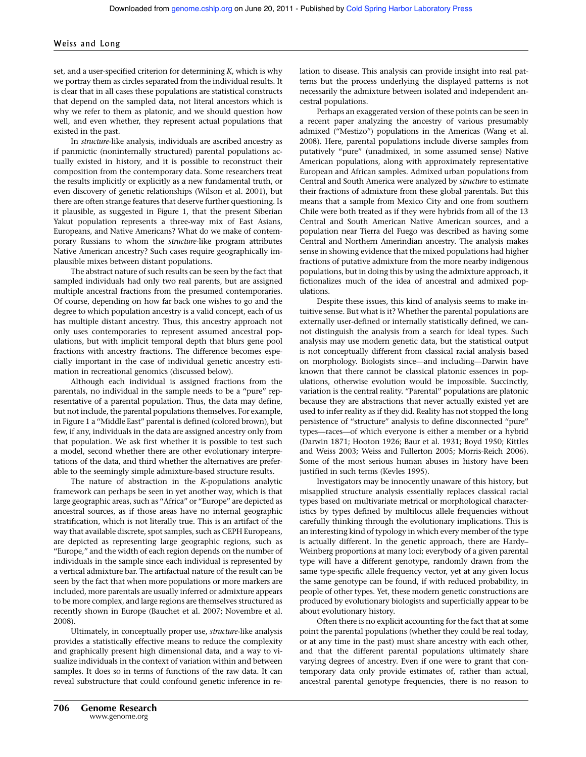#### Weiss and Long

set, and a user-specified criterion for determining K, which is why we portray them as circles separated from the individual results. It is clear that in all cases these populations are statistical constructs that depend on the sampled data, not literal ancestors which is why we refer to them as platonic, and we should question how well, and even whether, they represent actual populations that existed in the past.

In structure-like analysis, individuals are ascribed ancestry as if panmictic (noninternally structured) parental populations actually existed in history, and it is possible to reconstruct their composition from the contemporary data. Some researchers treat the results implicitly or explicitly as a new fundamental truth, or even discovery of genetic relationships (Wilson et al. 2001), but there are often strange features that deserve further questioning. Is it plausible, as suggested in Figure 1, that the present Siberian Yakut population represents a three-way mix of East Asians, Europeans, and Native Americans? What do we make of contemporary Russians to whom the structure-like program attributes Native American ancestry? Such cases require geographically implausible mixes between distant populations.

The abstract nature of such results can be seen by the fact that sampled individuals had only two real parents, but are assigned multiple ancestral fractions from the presumed contemporaries. Of course, depending on how far back one wishes to go and the degree to which population ancestry is a valid concept, each of us has multiple distant ancestry. Thus, this ancestry approach not only uses contemporaries to represent assumed ancestral populations, but with implicit temporal depth that blurs gene pool fractions with ancestry fractions. The difference becomes especially important in the case of individual genetic ancestry estimation in recreational genomics (discussed below).

Although each individual is assigned fractions from the parentals, no individual in the sample needs to be a ''pure'' representative of a parental population. Thus, the data may define, but not include, the parental populations themselves. For example, in Figure 1 a ''Middle East'' parental is defined (colored brown), but few, if any, individuals in the data are assigned ancestry only from that population. We ask first whether it is possible to test such a model, second whether there are other evolutionary interpretations of the data, and third whether the alternatives are preferable to the seemingly simple admixture-based structure results.

The nature of abstraction in the K-populations analytic framework can perhaps be seen in yet another way, which is that large geographic areas, such as ''Africa'' or ''Europe'' are depicted as ancestral sources, as if those areas have no internal geographic stratification, which is not literally true. This is an artifact of the way that available discrete, spot samples, such as CEPH Europeans, are depicted as representing large geographic regions, such as ''Europe,'' and the width of each region depends on the number of individuals in the sample since each individual is represented by a vertical admixture bar. The artifactual nature of the result can be seen by the fact that when more populations or more markers are included, more parentals are usually inferred or admixture appears to be more complex, and large regions are themselves structured as recently shown in Europe (Bauchet et al. 2007; Novembre et al. 2008).

Ultimately, in conceptually proper use, structure-like analysis provides a statistically effective means to reduce the complexity and graphically present high dimensional data, and a way to visualize individuals in the context of variation within and between samples. It does so in terms of functions of the raw data. It can reveal substructure that could confound genetic inference in relation to disease. This analysis can provide insight into real patterns but the process underlying the displayed patterns is not necessarily the admixture between isolated and independent ancestral populations.

Perhaps an exaggerated version of these points can be seen in a recent paper analyzing the ancestry of various presumably admixed (''Mestizo'') populations in the Americas (Wang et al. 2008). Here, parental populations include diverse samples from putatively ''pure'' (unadmixed, in some assumed sense) Native American populations, along with approximately representative European and African samples. Admixed urban populations from Central and South America were analyzed by structure to estimate their fractions of admixture from these global parentals. But this means that a sample from Mexico City and one from southern Chile were both treated as if they were hybrids from all of the 13 Central and South American Native American sources, and a population near Tierra del Fuego was described as having some Central and Northern Amerindian ancestry. The analysis makes sense in showing evidence that the mixed populations had higher fractions of putative admixture from the more nearby indigenous populations, but in doing this by using the admixture approach, it fictionalizes much of the idea of ancestral and admixed populations.

Despite these issues, this kind of analysis seems to make intuitive sense. But what is it? Whether the parental populations are externally user-defined or internally statistically defined, we cannot distinguish the analysis from a search for ideal types. Such analysis may use modern genetic data, but the statistical output is not conceptually different from classical racial analysis based on morphology. Biologists since—and including—Darwin have known that there cannot be classical platonic essences in populations, otherwise evolution would be impossible. Succinctly, variation is the central reality. ''Parental'' populations are platonic because they are abstractions that never actually existed yet are used to infer reality as if they did. Reality has not stopped the long persistence of ''structure'' analysis to define disconnected ''pure'' types—races—of which everyone is either a member or a hybrid (Darwin 1871; Hooton 1926; Baur et al. 1931; Boyd 1950; Kittles and Weiss 2003; Weiss and Fullerton 2005; Morris-Reich 2006). Some of the most serious human abuses in history have been justified in such terms (Kevles 1995).

Investigators may be innocently unaware of this history, but misapplied structure analysis essentially replaces classical racial types based on multivariate metrical or morphological characteristics by types defined by multilocus allele frequencies without carefully thinking through the evolutionary implications. This is an interesting kind of typology in which every member of the type is actually different. In the genetic approach, there are Hardy– Weinberg proportions at many loci; everybody of a given parental type will have a different genotype, randomly drawn from the same type-specific allele frequency vector, yet at any given locus the same genotype can be found, if with reduced probability, in people of other types. Yet, these modern genetic constructions are produced by evolutionary biologists and superficially appear to be about evolutionary history.

Often there is no explicit accounting for the fact that at some point the parental populations (whether they could be real today, or at any time in the past) must share ancestry with each other, and that the different parental populations ultimately share varying degrees of ancestry. Even if one were to grant that contemporary data only provide estimates of, rather than actual, ancestral parental genotype frequencies, there is no reason to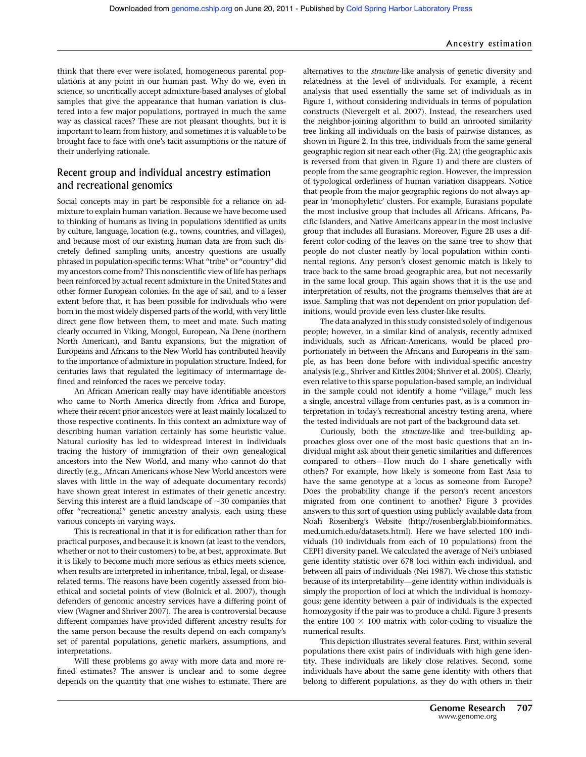#### Ancestry estimation

think that there ever were isolated, homogeneous parental populations at any point in our human past. Why do we, even in science, so uncritically accept admixture-based analyses of global samples that give the appearance that human variation is clustered into a few major populations, portrayed in much the same way as classical races? These are not pleasant thoughts, but it is important to learn from history, and sometimes it is valuable to be brought face to face with one's tacit assumptions or the nature of their underlying rationale.

## Recent group and individual ancestry estimation and recreational genomics

Social concepts may in part be responsible for a reliance on admixture to explain human variation. Because we have become used to thinking of humans as living in populations identified as units by culture, language, location (e.g., towns, countries, and villages), and because most of our existing human data are from such discretely defined sampling units, ancestry questions are usually phrased in population-specific terms: What ''tribe'' or ''country'' did my ancestors come from? This nonscientific view of life has perhaps been reinforced by actual recent admixture in the United States and other former European colonies. In the age of sail, and to a lesser extent before that, it has been possible for individuals who were born in the most widely dispersed parts of the world, with very little direct gene flow between them, to meet and mate. Such mating clearly occurred in Viking, Mongol, European, Na Dene (northern North American), and Bantu expansions, but the migration of Europeans and Africans to the New World has contributed heavily to the importance of admixture in population structure. Indeed, for centuries laws that regulated the legitimacy of intermarriage defined and reinforced the races we perceive today.

An African American really may have identifiable ancestors who came to North America directly from Africa and Europe, where their recent prior ancestors were at least mainly localized to those respective continents. In this context an admixture way of describing human variation certainly has some heuristic value. Natural curiosity has led to widespread interest in individuals tracing the history of immigration of their own genealogical ancestors into the New World, and many who cannot do that directly (e.g., African Americans whose New World ancestors were slaves with little in the way of adequate documentary records) have shown great interest in estimates of their genetic ancestry. Serving this interest are a fluid landscape of  $\sim$ 30 companies that offer ''recreational'' genetic ancestry analysis, each using these various concepts in varying ways.

This is recreational in that it is for edification rather than for practical purposes, and because it is known (at least to the vendors, whether or not to their customers) to be, at best, approximate. But it is likely to become much more serious as ethics meets science, when results are interpreted in inheritance, tribal, legal, or diseaserelated terms. The reasons have been cogently assessed from bioethical and societal points of view (Bolnick et al. 2007), though defenders of genomic ancestry services have a differing point of view (Wagner and Shriver 2007). The area is controversial because different companies have provided different ancestry results for the same person because the results depend on each company's set of parental populations, genetic markers, assumptions, and interpretations.

Will these problems go away with more data and more refined estimates? The answer is unclear and to some degree depends on the quantity that one wishes to estimate. There are alternatives to the structure-like analysis of genetic diversity and relatedness at the level of individuals. For example, a recent analysis that used essentially the same set of individuals as in Figure 1, without considering individuals in terms of population constructs (Nievergelt et al. 2007). Instead, the researchers used the neighbor-joining algorithm to build an unrooted similarity tree linking all individuals on the basis of pairwise distances, as shown in Figure 2. In this tree, individuals from the same general geographic region sit near each other (Fig. 2A) (the geographic axis is reversed from that given in Figure 1) and there are clusters of people from the same geographic region. However, the impression of typological orderliness of human variation disappears. Notice that people from the major geographic regions do not always appear in 'monophyletic' clusters. For example, Eurasians populate the most inclusive group that includes all Africans. Africans, Pacific Islanders, and Native Americans appear in the most inclusive group that includes all Eurasians. Moreover, Figure 2B uses a different color-coding of the leaves on the same tree to show that people do not cluster neatly by local population within continental regions. Any person's closest genomic match is likely to trace back to the same broad geographic area, but not necessarily in the same local group. This again shows that it is the use and interpretation of results, not the programs themselves that are at issue. Sampling that was not dependent on prior population definitions, would provide even less cluster-like results.

The data analyzed in this study consisted solely of indigenous people; however, in a similar kind of analysis, recently admixed individuals, such as African-Americans, would be placed proportionately in between the Africans and Europeans in the sample, as has been done before with individual-specific ancestry analysis (e.g., Shriver and Kittles 2004; Shriver et al. 2005). Clearly, even relative to this sparse population-based sample, an individual in the sample could not identify a home ''village,'' much less a single, ancestral village from centuries past, as is a common interpretation in today's recreational ancestry testing arena, where the tested individuals are not part of the background data set.

Curiously, both the structure-like and tree-building approaches gloss over one of the most basic questions that an individual might ask about their genetic similarities and differences compared to others—How much do I share genetically with others? For example, how likely is someone from East Asia to have the same genotype at a locus as someone from Europe? Does the probability change if the person's recent ancestors migrated from one continent to another? Figure 3 provides answers to this sort of question using publicly available data from Noah Rosenberg's Website (http://rosenberglab.bioinformatics. med.umich.edu/datasets.html). Here we have selected 100 individuals (10 individuals from each of 10 populations) from the CEPH diversity panel. We calculated the average of Nei's unbiased gene identity statistic over 678 loci within each individual, and between all pairs of individuals (Nei 1987). We chose this statistic because of its interpretability—gene identity within individuals is simply the proportion of loci at which the individual is homozygous; gene identity between a pair of individuals is the expected homozygosity if the pair was to produce a child. Figure 3 presents the entire  $100 \times 100$  matrix with color-coding to visualize the numerical results.

This depiction illustrates several features. First, within several populations there exist pairs of individuals with high gene identity. These individuals are likely close relatives. Second, some individuals have about the same gene identity with others that belong to different populations, as they do with others in their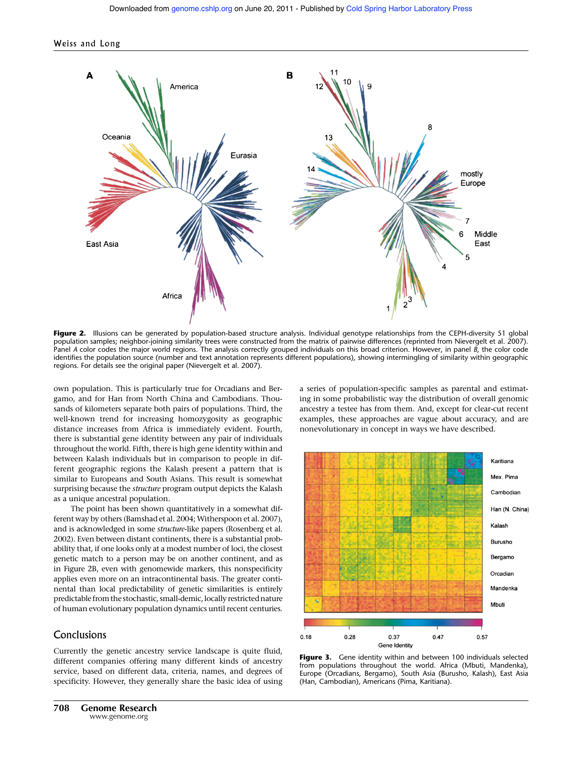

Figure 2. Illusions can be generated by population-based structure analysis. Individual genotype relationships from the CEPH-diversity 51 global population samples; neighbor-joining similarity trees were constructed from the matrix of pairwise differences (reprinted from Nievergelt et al. 2007). Panel A color codes the major world regions. The analysis correctly grouped individuals on this broad criterion. However, in panel B, the color code identifies the population source (number and text annotation represents different populations), showing intermingling of similarity within geographic regions. For details see the original paper (Nievergelt et al. 2007).

own population. This is particularly true for Orcadians and Bergamo, and for Han from North China and Cambodians. Thousands of kilometers separate both pairs of populations. Third, the well-known trend for increasing homozygosity as geographic distance increases from Africa is immediately evident. Fourth, there is substantial gene identity between any pair of individuals throughout the world. Fifth, there is high gene identity within and between Kalash individuals but in comparison to people in different geographic regions the Kalash present a pattern that is similar to Europeans and South Asians. This result is somewhat surprising because the *structure* program output depicts the Kalash as a unique ancestral population.

The point has been shown quantitatively in a somewhat different way by others (Bamshad et al. 2004; Witherspoon et al. 2007), and is acknowledged in some structure-like papers (Rosenberg et al. 2002). Even between distant continents, there is a substantial probability that, if one looks only at a modest number of loci, the closest genetic match to a person may be on another continent, and as in Figure 2B, even with genomewide markers, this nonspecificity applies even more on an intracontinental basis. The greater continental than local predictability of genetic similarities is entirely predictable from the stochastic, small-demic, locally restrictednature of human evolutionary population dynamics until recent centuries.

#### Conclusions

Currently the genetic ancestry service landscape is quite fluid, different companies offering many different kinds of ancestry service, based on different data, criteria, names, and degrees of specificity. However, they generally share the basic idea of using

a series of population-specific samples as parental and estimating in some probabilistic way the distribution of overall genomic ancestry a testee has from them. And, except for clear-cut recent examples, these approaches are vague about accuracy, and are nonevolutionary in concept in ways we have described.



Figure 3. Gene identity within and between 100 individuals selected from populations throughout the world. Africa (Mbuti, Mandenka), Europe (Orcadians, Bergamo), South Asia (Burusho, Kalash), East Asia (Han, Cambodian), Americans (Pima, Karitiana).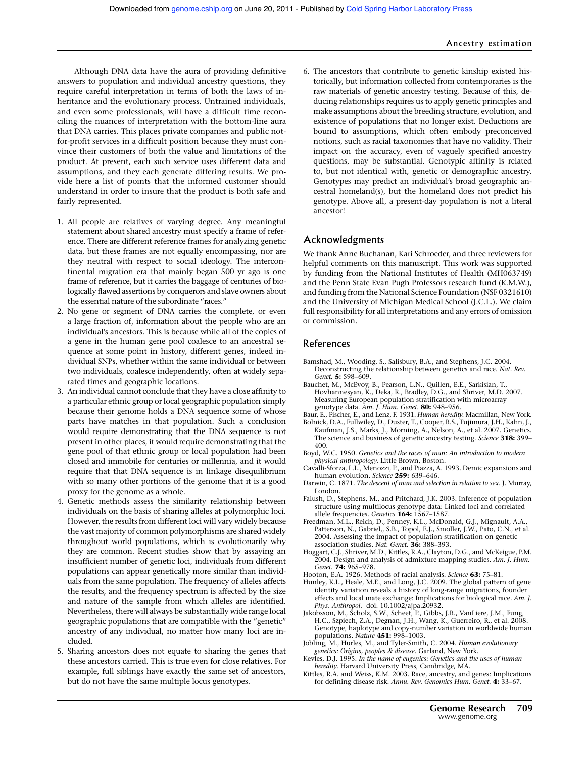Although DNA data have the aura of providing definitive answers to population and individual ancestry questions, they require careful interpretation in terms of both the laws of inheritance and the evolutionary process. Untrained individuals, and even some professionals, will have a difficult time reconciling the nuances of interpretation with the bottom-line aura that DNA carries. This places private companies and public notfor-profit services in a difficult position because they must convince their customers of both the value and limitations of the product. At present, each such service uses different data and assumptions, and they each generate differing results. We provide here a list of points that the informed customer should understand in order to insure that the product is both safe and fairly represented.

- 1. All people are relatives of varying degree. Any meaningful statement about shared ancestry must specify a frame of reference. There are different reference frames for analyzing genetic data, but these frames are not equally encompassing, nor are they neutral with respect to social ideology. The intercontinental migration era that mainly began 500 yr ago is one frame of reference, but it carries the baggage of centuries of biologically flawed assertions by conquerors and slave owners about the essential nature of the subordinate ''races.''
- 2. No gene or segment of DNA carries the complete, or even a large fraction of, information about the people who are an individual's ancestors. This is because while all of the copies of a gene in the human gene pool coalesce to an ancestral sequence at some point in history, different genes, indeed individual SNPs, whether within the same individual or between two individuals, coalesce independently, often at widely separated times and geographic locations.
- 3. An individual cannot conclude that they have a close affinity to a particular ethnic group or local geographic population simply because their genome holds a DNA sequence some of whose parts have matches in that population. Such a conclusion would require demonstrating that the DNA sequence is not present in other places, it would require demonstrating that the gene pool of that ethnic group or local population had been closed and immobile for centuries or millennia, and it would require that that DNA sequence is in linkage disequilibrium with so many other portions of the genome that it is a good proxy for the genome as a whole.
- 4. Genetic methods assess the similarity relationship between individuals on the basis of sharing alleles at polymorphic loci. However, the results from different loci will vary widely because the vast majority of common polymorphisms are shared widely throughout world populations, which is evolutionarily why they are common. Recent studies show that by assaying an insufficient number of genetic loci, individuals from different populations can appear genetically more similar than individuals from the same population. The frequency of alleles affects the results, and the frequency spectrum is affected by the size and nature of the sample from which alleles are identified. Nevertheless, there will always be substantially wide range local geographic populations that are compatible with the ''genetic'' ancestry of any individual, no matter how many loci are included.
- 5. Sharing ancestors does not equate to sharing the genes that these ancestors carried. This is true even for close relatives. For example, full siblings have exactly the same set of ancestors, but do not have the same multiple locus genotypes.

6. The ancestors that contribute to genetic kinship existed historically, but information collected from contemporaries is the raw materials of genetic ancestry testing. Because of this, deducing relationships requires us to apply genetic principles and make assumptions about the breeding structure, evolution, and existence of populations that no longer exist. Deductions are bound to assumptions, which often embody preconceived notions, such as racial taxonomies that have no validity. Their impact on the accuracy, even of vaguely specified ancestry questions, may be substantial. Genotypic affinity is related to, but not identical with, genetic or demographic ancestry. Genotypes may predict an individual's broad geographic ancestral homeland(s), but the homeland does not predict his genotype. Above all, a present-day population is not a literal ancestor!

## Acknowledgments

We thank Anne Buchanan, Kari Schroeder, and three reviewers for helpful comments on this manuscript. This work was supported by funding from the National Institutes of Health (MH063749) and the Penn State Evan Pugh Professors research fund (K.M.W.), and funding from the National Science Foundation (NSF 0321610) and the University of Michigan Medical School (J.C.L.). We claim full responsibility for all interpretations and any errors of omission or commission.

## References

- Bamshad, M., Wooding, S., Salisbury, B.A., and Stephens, J.C. 2004. Deconstructing the relationship between genetics and race. Nat. Rev. Genet. 5: 598–609.
- Bauchet, M., McEvoy, B., Pearson, L.N., Quillen, E.E., Sarkisian, T., Hovhannesyan, K., Deka, R., Bradley, D.G., and Shriver, M.D. 2007. Measuring European population stratification with microarray genotype data. Am. J. Hum. Genet. 80: 948-956.
- Baur, E., Fischer, E., and Lenz, F. 1931. Human heredity. Macmillan, New York. Bolnick, D.A., Fullwiley, D., Duster, T., Cooper, R.S., Fujimura, J.H., Kahn, J., Kaufman, J.S., Marks, J., Morning, A., Nelson, A., et al. 2007. Genetics.
- The science and business of genetic ancestry testing. Science 318: 399-400. Boyd, W.C. 1950. Genetics and the races of man: An introduction to modern
- physical anthropology. Little Brown, Boston.
- Cavalli-Sforza, L.L., Menozzi, P., and Piazza, A. 1993. Demic expansions and human evolution. Science 259: 639-646.
- Darwin, C. 1871. The descent of man and selection in relation to sex. J. Murray, London.
- Falush, D., Stephens, M., and Pritchard, J.K. 2003. Inference of population structure using multilocus genotype data: Linked loci and correlated<br>allele frequencies. *Genetics* **164:** 1567–1587.
- Freedman, M.L., Reich, D., Penney, K.L., McDonald, G.J., Mignault, A.A., Patterson, N., Gabriel,, S.B., Topol, E.J., Smoller, J.W., Pato, C.N., et al. 2004. Assessing the impact of population stratification on genetic association studies. Nat. Genet. 36: 388-393.
- Hoggart, C.J., Shriver, M.D., Kittles, R.A., Clayton, D.G., and McKeigue, P.M. 2004. Design and analysis of admixture mapping studies. Am. J. Hum. Genet. **74:** 965-978.
- Hooton, E.A. 1926. Methods of racial analysis. Science 63: 75-81.
- Hunley, K.L., Heale, M.E., and Long, J.C. 2009. The global pattern of gene identity variation reveals a history of long-range migrations, founder effects and local mate exchange: Implications for biological race. Am. J. Phys. Anthropol. doi: 10.1002/ajpa.20932.
- Jakobsson, M., Scholz, S.W., Scheet, P., Gibbs, J.R., VanLiere, J.M., Fung, H.C., Szpiech, Z.A., Degnan, J.H., Wang, K., Guerreiro, R., et al. 2008. Genotype, haplotype and copy-number variation in worldwide human populations. Nature 451: 998–1003.
- Jobling, M., Hurles, M., and Tyler-Smith, C. 2004. Human evolutionary genetics: Origins, peoples & disease. Garland, New York.
- Kevles, D.J. 1995. In the name of eugenics: Genetics and the uses of human heredity. Harvard University Press, Cambridge, MA.
- Kittles, R.A. and Weiss, K.M. 2003. Race, ancestry, and genes: Implications for defining disease risk. Annu. Rev. Genomics Hum. Genet. 4: 33–67.